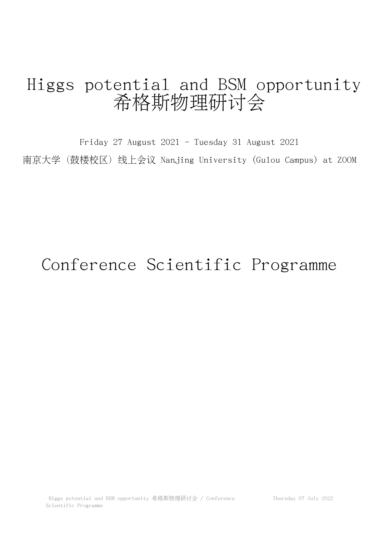## Higgs potential and BSM opportunity 希格斯物理研讨会

Friday 27 August 2021 - Tuesday 31 August 2021 南京大学(鼓楼校区)线上会议 Nanjing University (Gulou Campus) at ZOOM

## Conference Scientific Programme